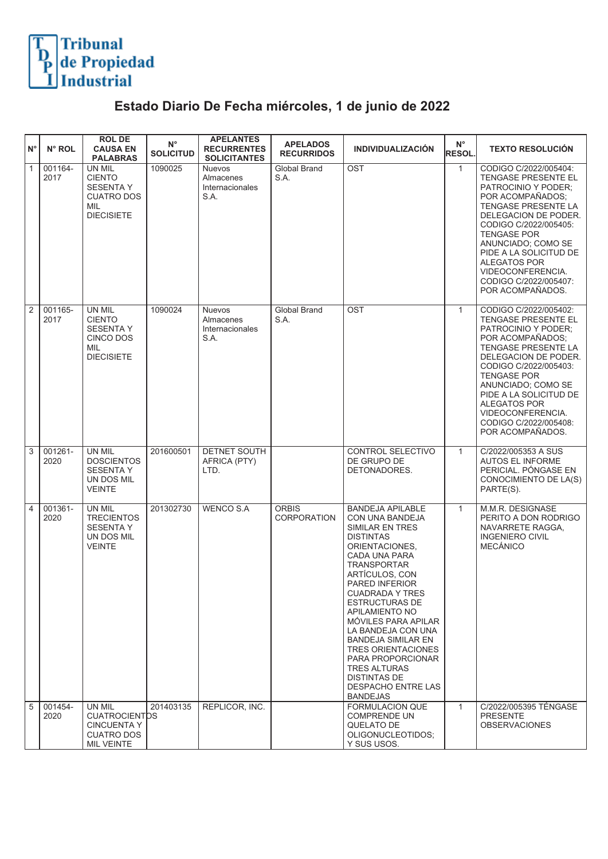## Tribunal<br>de Propiedad<br>Industrial

## **Estado Diario De Fecha miércoles, 1 de junio de 2022**

| ١N°            | N° ROL          | <b>ROL DE</b><br><b>CAUSA EN</b><br><b>PALABRAS</b>                                                       | $N^{\circ}$<br><b>SOLICITUD</b> | <b>APELANTES</b><br><b>RECURRENTES</b><br><b>SOLICITANTES</b> | <b>APELADOS</b><br><b>RECURRIDOS</b> | <b>INDIVIDUALIZACIÓN</b>                                                                                                                                                                                                                                                                                                                                                                                                                                        | $N^{\circ}$<br><b>RESOL.</b> | <b>TEXTO RESOLUCIÓN</b>                                                                                                                                                                                                                                                                                                               |
|----------------|-----------------|-----------------------------------------------------------------------------------------------------------|---------------------------------|---------------------------------------------------------------|--------------------------------------|-----------------------------------------------------------------------------------------------------------------------------------------------------------------------------------------------------------------------------------------------------------------------------------------------------------------------------------------------------------------------------------------------------------------------------------------------------------------|------------------------------|---------------------------------------------------------------------------------------------------------------------------------------------------------------------------------------------------------------------------------------------------------------------------------------------------------------------------------------|
| $\overline{1}$ | 001164-<br>2017 | UN MIL<br><b>CIENTO</b><br><b>SESENTA Y</b><br><b>CUATRO DOS</b><br><b>MIL</b><br><b>DIECISIETE</b>       | 1090025                         | <b>Nuevos</b><br>Almacenes<br>Internacionales<br>S.A.         | Global Brand<br>S.A.                 | <b>OST</b>                                                                                                                                                                                                                                                                                                                                                                                                                                                      | $\mathbf{1}$                 | CODIGO C/2022/005404:<br>TENGASE PRESENTE EL<br>PATROCINIO Y PODER:<br>POR ACOMPAÑADOS;<br><b>TENGASE PRESENTE LA</b><br>DELEGACION DE PODER.<br>CODIGO C/2022/005405:<br><b>TENGASE POR</b><br>ANUNCIADO; COMO SE<br>PIDE A LA SOLICITUD DE<br><b>ALEGATOS POR</b><br>VIDEOCONFERENCIA.<br>CODIGO C/2022/005407:<br>POR ACOMPAÑADOS. |
| $\overline{2}$ | 001165-<br>2017 | <b>UN MIL</b><br><b>CIENTO</b><br><b>SESENTA Y</b><br><b>CINCO DOS</b><br><b>MIL</b><br><b>DIECISIETE</b> | 1090024                         | <b>Nuevos</b><br>Almacenes<br>Internacionales<br>S.A.         | <b>Global Brand</b><br>S.A.          | OST                                                                                                                                                                                                                                                                                                                                                                                                                                                             | $\mathbf{1}$                 | CODIGO C/2022/005402:<br>TENGASE PRESENTE EL<br>PATROCINIO Y PODER:<br>POR ACOMPAÑADOS;<br><b>TENGASE PRESENTE LA</b><br>DELEGACION DE PODER.<br>CODIGO C/2022/005403:<br><b>TENGASE POR</b><br>ANUNCIADO; COMO SE<br>PIDE A LA SOLICITUD DE<br><b>ALEGATOS POR</b><br>VIDEOCONFERENCIA.<br>CODIGO C/2022/005408:<br>POR ACOMPAÑADOS. |
| $\sqrt{3}$     | 001261-<br>2020 | UN MIL<br><b>DOSCIENTOS</b><br><b>SESENTA Y</b><br>UN DOS MIL<br><b>VEINTE</b>                            | 201600501                       | <b>DETNET SOUTH</b><br>AFRICA (PTY)<br>LTD.                   |                                      | CONTROL SELECTIVO<br>DE GRUPO DE<br>DETONADORES.                                                                                                                                                                                                                                                                                                                                                                                                                | $\mathbf{1}$                 | C/2022/005353 A SUS<br><b>AUTOS EL INFORME</b><br>PERICIAL. PÓNGASE EN<br>CONOCIMIENTO DE LA(S)<br>PARTE(S).                                                                                                                                                                                                                          |
| $\vert$ 4      | 001361-<br>2020 | UN MIL<br><b>TRECIENTOS</b><br><b>SESENTA Y</b><br>UN DOS MIL<br><b>VEINTE</b>                            | 201302730                       | <b>WENCO S.A</b>                                              | <b>ORBIS</b><br><b>CORPORATION</b>   | <b>BANDEJA APILABLE</b><br>CON UNA BANDEJA<br>SIMILAR EN TRES<br><b>DISTINTAS</b><br>ORIENTACIONES,<br>CADA UNA PARA<br><b>TRANSPORTAR</b><br>ARTÍCULOS, CON<br><b>PARED INFERIOR</b><br>CUADRADA Y IRES<br><b>ESTRUCTURAS DE</b><br>APILAMIENTO NO<br>MÓVILES PARA APILAR<br>LA BANDEJA CON UNA<br>BANDEJA SIMILAR EN<br><b>TRES ORIENTACIONES</b><br>PARA PROPORCIONAR<br><b>TRES ALTURAS</b><br>DISTINTAS DE<br><b>DESPACHO ENTRE LAS</b><br><b>BANDEJAS</b> | $\mathbf{1}$                 | M.M.R. DESIGNASE<br>PERITO A DON RODRIGO<br>NAVARRETE RAGGA,<br><b>INGENIERO CIVIL</b><br><b>MECÁNICO</b>                                                                                                                                                                                                                             |
| $\overline{5}$ | 001454-<br>2020 | UN MIL<br><b>CUATROCIENTDS</b><br><b>CINCUENTA Y</b><br><b>CUATRO DOS</b><br><b>MIL VEINTE</b>            | 201403135                       | REPLICOR. INC.                                                |                                      | <b>FORMULACION QUE</b><br><b>COMPRENDE UN</b><br>QUELATO DE<br>OLIGONUCLEOTIDOS;<br>Y SUS USOS.                                                                                                                                                                                                                                                                                                                                                                 | $\mathbf{1}$                 | C/2022/005395 TÉNGASE<br><b>PRESENTE</b><br><b>OBSERVACIONES</b>                                                                                                                                                                                                                                                                      |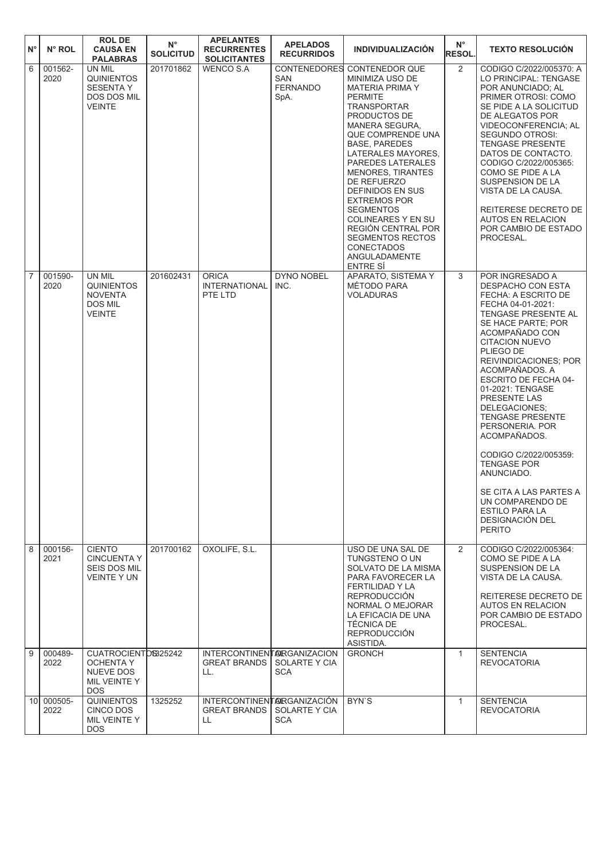| ١N°            | N° ROL             | <b>ROLDE</b><br><b>CAUSA EN</b><br><b>PALABRAS</b>                                    | $\mathsf{N}^\circ$<br><b>SOLICITUD</b> | <b>APELANTES</b><br><b>RECURRENTES</b><br><b>SOLICITANTES</b> | <b>APELADOS</b><br><b>RECURRIDOS</b>                         | <b>INDIVIDUALIZACIÓN</b>                                                                                                                                                                                                                                                                                                                                                                                                                                                                            | $N^{\circ}$<br><b>RESOL.</b> | <b>TEXTO RESOLUCIÓN</b>                                                                                                                                                                                                                                                                                                                                                                                                                                                                                                                             |
|----------------|--------------------|---------------------------------------------------------------------------------------|----------------------------------------|---------------------------------------------------------------|--------------------------------------------------------------|-----------------------------------------------------------------------------------------------------------------------------------------------------------------------------------------------------------------------------------------------------------------------------------------------------------------------------------------------------------------------------------------------------------------------------------------------------------------------------------------------------|------------------------------|-----------------------------------------------------------------------------------------------------------------------------------------------------------------------------------------------------------------------------------------------------------------------------------------------------------------------------------------------------------------------------------------------------------------------------------------------------------------------------------------------------------------------------------------------------|
| $\overline{6}$ | 001562-<br>2020    | UN MIL<br><b>QUINIENTOS</b><br><b>SESENTAY</b><br><b>DOS DOS MIL</b><br><b>VEINTE</b> | 201701862                              | <b>WENCO S.A</b>                                              | <b>CONTENEDORES</b><br><b>SAN</b><br><b>FERNANDO</b><br>SpA. | <b>CONTENEDOR QUE</b><br>MINIMIZA USO DE<br><b>MATERIA PRIMA Y</b><br><b>PERMITE</b><br><b>TRANSPORTAR</b><br>PRODUCTOS DE<br><b>MANERA SEGURA.</b><br>QUE COMPRENDE UNA<br><b>BASE, PAREDES</b><br>LATERALES MAYORES.<br>PAREDES LATERALES<br><b>MENORES, TIRANTES</b><br>DE REFUERZO<br>DEFINIDOS EN SUS<br><b>EXTREMOS POR</b><br><b>SEGMENTOS</b><br><b>COLINEARES Y EN SU</b><br><b>REGIÓN CENTRAL POR</b><br><b>SEGMENTOS RECTOS</b><br><b>CONECTADOS</b><br>ANGULADAMENTE<br><b>ENTRE SÍ</b> | $\overline{2}$               | CODIGO C/2022/005370: A<br>LO PRINCIPAL: TENGASE<br>POR ANUNCIADO; AL<br>PRIMER OTROSI: COMO<br>SE PIDE A LA SOLICITUD<br>DE ALEGATOS POR<br>VIDEOCONFERENCIA; AL<br><b>SEGUNDO OTROSI:</b><br>TENGASE PRESENTE<br>DATOS DE CONTACTO.<br>CODIGO C/2022/005365:<br>COMO SE PIDE A LA<br><b>SUSPENSION DE LA</b><br>VISTA DE LA CAUSA.<br>REITERESE DECRETO DE<br><b>AUTOS EN RELACION</b><br>POR CAMBIO DE ESTADO<br>PROCESAL.                                                                                                                       |
| $\overline{7}$ | 001590-<br>2020    | UN MIL<br><b>QUINIENTOS</b><br><b>NOVENTA</b><br>DOS MIL<br><b>VEINTE</b>             | 201602431                              | <b>ORICA</b><br><b>INTERNATIONAL</b><br>PTE LTD               | <b>DYNO NOBEL</b><br>INC.                                    | APARATO, SISTEMA Y<br>MÉTODO PARA<br><b>VOLADURAS</b>                                                                                                                                                                                                                                                                                                                                                                                                                                               | 3                            | POR INGRESADO A<br>DESPACHO CON ESTA<br>FECHA: A ESCRITO DE<br>FECHA 04-01-2021:<br>TENGASE PRESENTE AL<br>SE HACE PARTE; POR<br>ACOMPAÑADO CON<br><b>CITACION NUEVO</b><br>PLIEGO DE<br>REIVINDICACIONES; POR<br>ACOMPAÑADOS. A<br>ESCRITO DE FECHA 04-<br>01-2021: TENGASE<br>PRESENTE LAS<br>DELEGACIONES:<br><b>TENGASE PRESENTE</b><br>PERSONERIA. POR<br>ACOMPAÑADOS.<br>CODIGO C/2022/005359:<br><b>TENGASE POR</b><br>ANUNCIADO.<br>SE CITA A LAS PARTES A<br>UN COMPARENDO DE<br><b>ESTILO PARA LA</b><br>DESIGNACIÓN DEL<br><b>PERITO</b> |
| $\overline{8}$ | 000156-<br>2021    | <b>CIENTO</b><br><b>CINCUENTA Y</b><br>SEIS DOS MIL<br>VEINTE Y UN                    | 201700162                              | OXOLIFE, S.L.                                                 |                                                              | USO DE UNA SAL DE<br>TUNGSTENO O UN<br>SOLVATO DE LA MISMA<br>PARA FAVORECER LA<br><b>FERTILIDAD Y LA</b><br><b>REPRODUCCIÓN</b><br>NORMAL O MEJORAR<br>LA EFICACIA DE UNA<br><b>TÉCNICA DE</b><br><b>REPRODUCCIÓN</b><br>ASISTIDA.                                                                                                                                                                                                                                                                 | 2                            | CODIGO C/2022/005364:<br>COMO SE PIDE A LA<br>SUSPENSION DE LA<br>VISTA DE LA CAUSA.<br>REITERESE DECRETO DE<br><b>AUTOS EN RELACION</b><br>POR CAMBIO DE ESTADO<br>PROCESAL.                                                                                                                                                                                                                                                                                                                                                                       |
| $\overline{9}$ | 000489-<br>2022    | CUATROCIENTOS325242<br><b>OCHENTA Y</b><br>NUEVE DOS<br>MIL VEINTE Y<br><b>DOS</b>    |                                        | INTERCONTINENT ARGANIZACION<br><b>GREAT BRANDS</b><br>LL.     | SOLARTE Y CIA<br>SCA                                         | <b>GRONCH</b>                                                                                                                                                                                                                                                                                                                                                                                                                                                                                       | $\mathbf{1}$                 | <b>SENTENCIA</b><br><b>REVOCATORIA</b>                                                                                                                                                                                                                                                                                                                                                                                                                                                                                                              |
|                | 10 000505-<br>2022 | <b>QUINIENTOS</b><br>CINCO DOS<br>MIL VEINTE Y<br>DOS.                                | 1325252                                | INTERCONTINENT ARGANIZACIÓN<br><b>GREAT BRANDS</b><br>LL.     | SOLARTE Y CIA<br>SCA                                         | BYN'S                                                                                                                                                                                                                                                                                                                                                                                                                                                                                               | $\mathbf{1}$                 | <b>SENTENCIA</b><br><b>REVOCATORIA</b>                                                                                                                                                                                                                                                                                                                                                                                                                                                                                                              |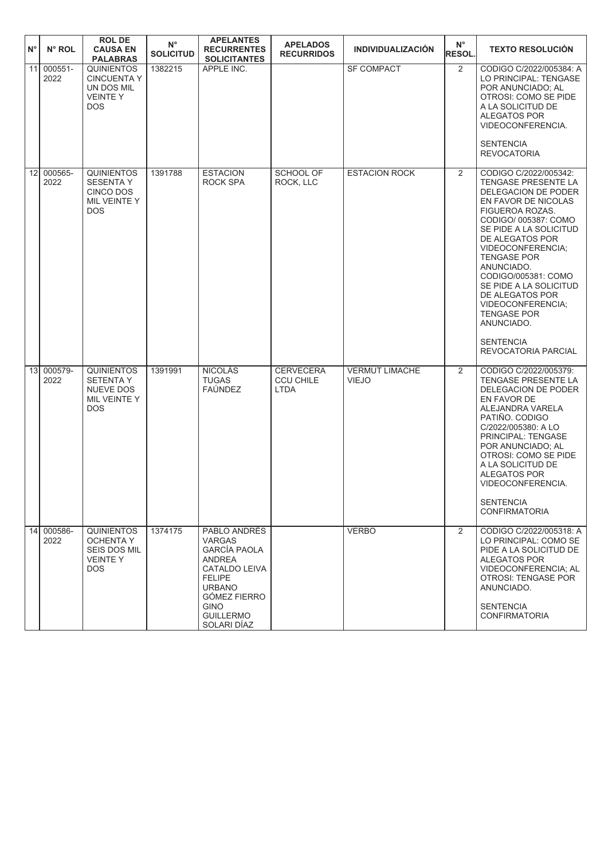| N°              | N° ROL          | <b>ROL DE</b><br><b>CAUSA EN</b><br><b>PALABRAS</b>                                          | $N^{\circ}$<br><b>SOLICITUD</b> | <b>APELANTES</b><br><b>RECURRENTES</b><br><b>SOLICITANTES</b>                                                                                                                                     | <b>APELADOS</b><br><b>RECURRIDOS</b>                | <b>INDIVIDUALIZACIÓN</b>              | $N^{\circ}$<br><b>RESOL.</b> | <b>TEXTO RESOLUCIÓN</b>                                                                                                                                                                                                                                                                                                                                                                                             |
|-----------------|-----------------|----------------------------------------------------------------------------------------------|---------------------------------|---------------------------------------------------------------------------------------------------------------------------------------------------------------------------------------------------|-----------------------------------------------------|---------------------------------------|------------------------------|---------------------------------------------------------------------------------------------------------------------------------------------------------------------------------------------------------------------------------------------------------------------------------------------------------------------------------------------------------------------------------------------------------------------|
| 11              | 000551-<br>2022 | <b>QUINIENTOS</b><br><b>CINCUENTA Y</b><br>UN DOS MIL<br><b>VEINTEY</b><br>DOS.              | 1382215                         | APPLE INC.                                                                                                                                                                                        |                                                     | <b>SF COMPACT</b>                     | $\overline{2}$               | CODIGO C/2022/005384: A<br>LO PRINCIPAL: TENGASE<br>POR ANUNCIADO; AL<br>OTROSI: COMO SE PIDE<br>A LA SOLICITUD DE<br><b>ALEGATOS POR</b><br>VIDEOCONFERENCIA.<br><b>SENTENCIA</b><br><b>REVOCATORIA</b>                                                                                                                                                                                                            |
| 12              | 000565-<br>2022 | <b>QUINIENTOS</b><br><b>SESENTA Y</b><br>CINCO DOS<br>MIL VEINTE Y<br><b>DOS</b>             | 1391788                         | <b>ESTACION</b><br>ROCK SPA                                                                                                                                                                       | SCHOOL OF<br>ROCK, LLC                              | <b>ESTACION ROCK</b>                  | $\overline{2}$               | CODIGO C/2022/005342:<br>TENGASE PRESENTE LA<br>DELEGACION DE PODER<br>EN FAVOR DE NICOLAS<br>FIGUEROA ROZAS.<br>CODIGO/ 005387: COMO<br>SE PIDE A LA SOLICITUD<br>DE ALEGATOS POR<br>VIDEOCONFERENCIA;<br><b>TENGASE POR</b><br>ANUNCIADO.<br>CODIGO/005381: COMO<br>SE PIDE A LA SOLICITUD<br>DE ALEGATOS POR<br>VIDEOCONFERENCIA;<br><b>TENGASE POR</b><br>ANUNCIADO.<br><b>SENTENCIA</b><br>REVOCATORIA PARCIAL |
| 13 <sup>1</sup> | 000579-<br>2022 | <b>QUINIENTOS</b><br><b>SETENTA Y</b><br>NUEVE DOS<br>MIL VEINTE Y<br><b>DOS</b>             | 1391991                         | <b>NICOLÁS</b><br><b>TUGAS</b><br><b>FAÚNDEZ</b>                                                                                                                                                  | <b>CERVECERA</b><br><b>CCU CHILE</b><br><b>LTDA</b> | <b>VERMUT LIMACHE</b><br><b>VIEJO</b> | 2                            | CODIGO C/2022/005379:<br>TENGASE PRESENTE LA<br>DELEGACION DE PODER<br>EN FAVOR DE<br>ALEJANDRA VARELA<br>PATIÑO. CODIGO<br>C/2022/005380: A LO<br>PRINCIPAL: TENGASE<br>POR ANUNCIADO; AL<br>OTROSI: COMO SE PIDE<br>A LA SOLICITUD DE<br><b>ALEGATOS POR</b><br>VIDEOCONFERENCIA.<br><b>SENTENCIA</b><br><b>CONFIRMATORIA</b>                                                                                     |
| 14              | 000586-<br>2022 | <b>QUINIENTOS</b><br><b>OCHENTA Y</b><br><b>SEIS DOS MIL</b><br><b>VEINTEY</b><br><b>DOS</b> | 1374175                         | PABLO ANDRÉS<br><b>VARGAS</b><br><b>GARCÍA PAOLA</b><br><b>ANDREA</b><br>CATALDO LEIVA<br><b>FELIPE</b><br><b>URBANO</b><br><b>GÓMEZ FIERRO</b><br><b>GINO</b><br><b>GUILLERMO</b><br>SOLARI DÍAZ |                                                     | <b>VERBO</b>                          | $\overline{2}$               | CODIGO C/2022/005318: A<br>LO PRINCIPAL: COMO SE<br>PIDE A LA SOLICITUD DE<br><b>ALEGATOS POR</b><br>VIDEOCONFERENCIA; AL<br><b>OTROSI: TENGASE POR</b><br>ANUNCIADO.<br><b>SENTENCIA</b><br><b>CONFIRMATORIA</b>                                                                                                                                                                                                   |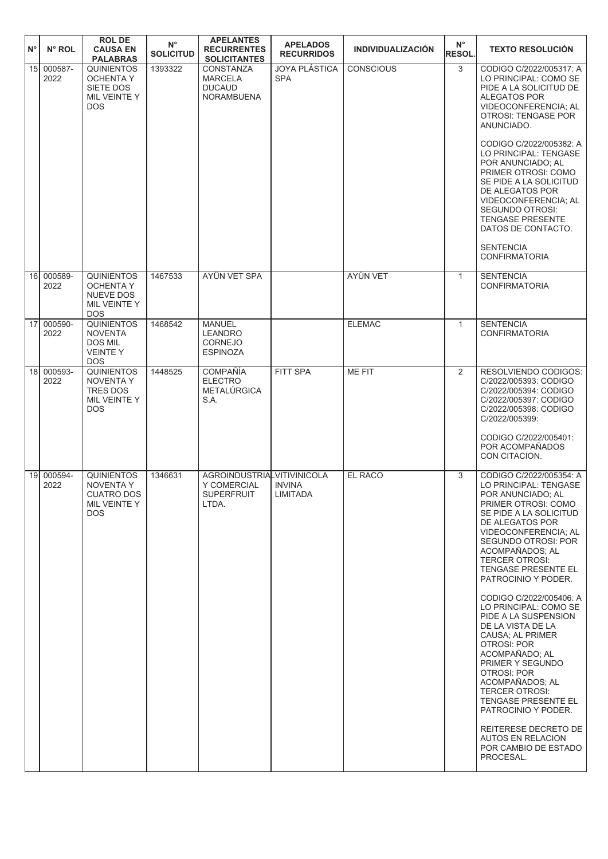| $N^{\circ}$     | N° ROL             | <b>ROL DE</b><br><b>CAUSA EN</b><br><b>PALABRAS</b>                                     | $N^{\circ}$<br><b>SOLICITUD</b> | <b>APELANTES</b><br><b>RECURRENTES</b><br><b>SOLICITANTES</b>           | <b>APELADOS</b><br><b>RECURRIDOS</b> | <b>INDIVIDUALIZACIÓN</b> | $N^{\circ}$<br><b>RESOL.</b> | <b>TEXTO RESOLUCIÓN</b>                                                                                                                                                                                                                                                                                                                                                                                                                                                                                      |
|-----------------|--------------------|-----------------------------------------------------------------------------------------|---------------------------------|-------------------------------------------------------------------------|--------------------------------------|--------------------------|------------------------------|--------------------------------------------------------------------------------------------------------------------------------------------------------------------------------------------------------------------------------------------------------------------------------------------------------------------------------------------------------------------------------------------------------------------------------------------------------------------------------------------------------------|
| 15              | 000587-<br>2022    | <b>QUINIENTOS</b><br><b>OCHENTA Y</b><br>SIETE DOS<br>MIL VEINTE Y<br><b>DOS</b>        | 1393322                         | CONSTANZA<br><b>MARCELA</b><br><b>DUCAUD</b><br><b>NORAMBUENA</b>       | <b>JOYA PLÁSTICA</b><br><b>SPA</b>   | <b>CONSCIOUS</b>         | 3                            | CODIGO C/2022/005317: A<br>LO PRINCIPAL: COMO SE<br>PIDE A LA SOLICITUD DE<br>ALEGATOS POR<br>VIDEOCONFERENCIA; AL<br>OTROSI: TENGASE POR<br>ANUNCIADO.<br>CODIGO C/2022/005382: A<br>LO PRINCIPAL: TENGASE<br>POR ANUNCIADO: AL<br>PRIMER OTROSI: COMO<br>SE PIDE A LA SOLICITUD<br>DE ALEGATOS POR<br>VIDEOCONFERENCIA; AL<br>SEGUNDO OTROSI:<br><b>TENGASE PRESENTE</b><br>DATOS DE CONTACTO.<br><b>SENTENCIA</b><br><b>CONFIRMATORIA</b>                                                                 |
| 16 <sup>1</sup> | 000589-<br>2022    | <b>QUINIENTOS</b><br><b>OCHENTA Y</b><br><b>NUEVE DOS</b><br>MIL VEINTE Y<br><b>DOS</b> | 1467533                         | AYÜN VET SPA                                                            |                                      | <b>AYÜN VET</b>          | $\mathbf{1}$                 | <b>SENTENCIA</b><br><b>CONFIRMATORIA</b>                                                                                                                                                                                                                                                                                                                                                                                                                                                                     |
| 17              | 000590-<br>2022    | <b>QUINIENTOS</b><br><b>NOVENTA</b><br><b>DOS MIL</b><br><b>VEINTEY</b><br><b>DOS</b>   | 1468542                         | <b>MANUEL</b><br><b>LEANDRO</b><br>CORNEJO<br><b>ESPINOZA</b>           |                                      | <b>ELEMAC</b>            | $\mathbf{1}$                 | <b>SENTENCIA</b><br><b>CONFIRMATORIA</b>                                                                                                                                                                                                                                                                                                                                                                                                                                                                     |
|                 | 18 000593-<br>2022 | <b>QUINIENTOS</b><br><b>NOVENTA Y</b><br><b>TRES DOS</b><br>MIL VEINTE Y<br><b>DOS</b>  | 1448525                         | <b>COMPAÑÍA</b><br><b>ELECTRO</b><br>METALÚRGICA<br>S.A.                | FITT SPA                             | <b>ME FIT</b>            | 2                            | RESOLVIENDO CODIGOS:<br>C/2022/005393: CODIGO<br>C/2022/005394: CODIGO<br>C/2022/005397: CODIGO<br>C/2022/005398: CODIGO<br>C/2022/005399:<br>CODIGO C/2022/005401:<br>POR ACOMPAÑADOS<br>CON CITACION.                                                                                                                                                                                                                                                                                                      |
| 19 <sup>1</sup> | 000594-<br>2022    | <b>QUINIENTOS</b><br><b>NOVENTA Y</b><br>CUATRO DOS<br>MIL VEINTE Y<br><b>DOS</b>       | 1346631                         | AGROINDUSTRIALVITIVINICOLA<br>Y COMERCIAL<br><b>SUPERFRUIT</b><br>LTDA. | <b>INVINA</b><br>LIMITADA            | EL RACO                  | 3                            | CODIGO C/2022/005354: A<br>LO PRINCIPAL: TENGASE<br>POR ANUNCIADO; AL<br>PRIMER OTROSI: COMO<br>SE PIDE A LA SOLICITUD<br>DE ALEGATOS POR<br><b>VIDEOCONFERENCIA: AL</b><br>SEGUNDO OTROSI: POR<br>ACOMPAÑADOS: AL<br><b>TERCER OTROSI:</b><br>TENGASE PRESENTE EL<br>PATROCINIO Y PODER.<br>CODIGO C/2022/005406: A<br>LO PRINCIPAL: COMO SE<br>PIDE A LA SUSPENSION<br>DE LA VISTA DE LA<br>CAUSA; AL PRIMER<br><b>OTROSI: POR</b><br>ACOMPAÑADO; AL<br>PRIMER Y SEGUNDO<br>OTROSI: POR<br>ACOMPAÑADOS; AL |
|                 |                    |                                                                                         |                                 |                                                                         |                                      |                          |                              | <b>TERCER OTROSI:</b><br>TENGASE PRESENTE EL<br>PATROCINIO Y PODER.<br>REITERESE DECRETO DE<br><b>AUTOS EN RELACION</b><br>POR CAMBIO DE ESTADO<br>PROCESAL.                                                                                                                                                                                                                                                                                                                                                 |